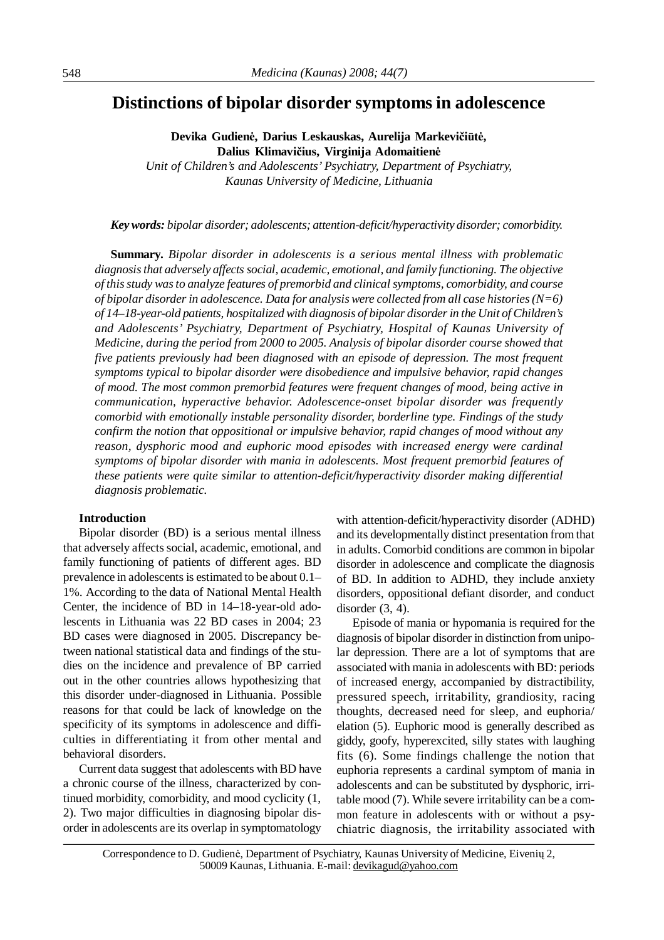# **Distinctions of bipolar disorder symptoms in adolescence**

**Devika Gudienė, Darius Leskauskas, Aurelija Markevičiūtė, Dalius Klimavičius, Virginija Adomaitienė**

*Unit of Children's and Adolescents' Psychiatry, Department of Psychiatry, Kaunas University of Medicine, Lithuania*

#### *Keywords: bipolar disorder; adolescents; attention-deficit/hyperactivity disorder; comorbidity.*

**Summary.** *Bipolar disorder in adolescents is a serious mental illness with problematic diagnosisthat adversely affects social, academic, emotional, and family functioning. The objective of thisstudy wasto analyze features of premorbid and clinical symptoms, comorbidity, and course of bipolar disorder in adolescence. Data for analysis were collected from all case histories(N=6) of 14–18-year-old patients, hospitalized with diagnosis of bipolar disorderin the Unit of Children's and Adolescents' Psychiatry, Department of Psychiatry, Hospital of Kaunas University of Medicine, during the period from 2000 to 2005. Analysis of bipolar disorder course showed that five patients previously had been diagnosed with an episode of depression. The most frequent symptoms typical to bipolar disorder were disobedience and impulsive behavior, rapid changes of mood. The most common premorbid features were frequent changes of mood, being active in communication, hyperactive behavior. Adolescence-onset bipolar disorder was frequently comorbid with emotionally instable personality disorder, borderline type. Findings of the study confirm the notion that oppositional or impulsive behavior, rapid changes of mood without any reason, dysphoric mood and euphoric mood episodes with increased energy were cardinal symptoms of bipolar disorder with mania in adolescents. Most frequent premorbid features of these patients were quite similar to attention-deficit/hyperactivity disorder making differential diagnosis problematic.*

## **Introduction**

Bipolar disorder (BD) is a serious mental illness that adversely affects social, academic, emotional, and family functioning of patients of different ages. BD prevalence in adolescents is estimated to be about 0.1– 1%. According to the data of National Mental Health Center, the incidence of BD in 14–18-year-old adolescents in Lithuania was 22 BD cases in 2004; 23 BD cases were diagnosed in 2005. Discrepancy between national statistical data and findings of the studies on the incidence and prevalence of BP carried out in the other countries allows hypothesizing that this disorder under-diagnosed in Lithuania. Possible reasons for that could be lack of knowledge on the specificity of its symptoms in adolescence and difficulties in differentiating it from other mental and behavioral disorders.

Current data suggest that adolescents withBD have a chronic course of the illness, characterized by continued morbidity, comorbidity, and mood cyclicity (1, 2). Two major difficulties in diagnosing bipolar disorder in adolescents are its overlap in symptomatology

with attention-deficit/hyperactivity disorder (ADHD) and its developmentally distinct presentation from that in adults. Comorbid conditions are common in bipolar disorder in adolescence and complicate the diagnosis of BD. In addition to ADHD, they include anxiety disorders, oppositional defiant disorder, and conduct disorder  $(3, 4)$ .

Episode of mania or hypomania is required for the diagnosis of bipolar disorder in distinction from unipolar depression. There are a lot of symptoms that are associated with mania in adolescents with BD: periods of increased energy, accompanied by distractibility, pressured speech, irritability, grandiosity, racing thoughts, decreased need for sleep, and euphoria/ elation (5). Euphoric mood is generally described as giddy, goofy, hyperexcited, silly states with laughing fits (6). Some findings challenge the notion that euphoria represents a cardinal symptom of mania in adolescents and can be substituted by dysphoric, irritable mood (7). While severe irritability can be a common feature in adolescents with or without a psychiatric diagnosis, the irritability associated with

Correspondence to D. Gudienė, Department of Psychiatry, Kaunas University of Medicine, Eivenių 2, 50009 Kaunas, Lithuania. E-mail: [devikagud@yahoo.com](mailto:devikagud@yahoo.com)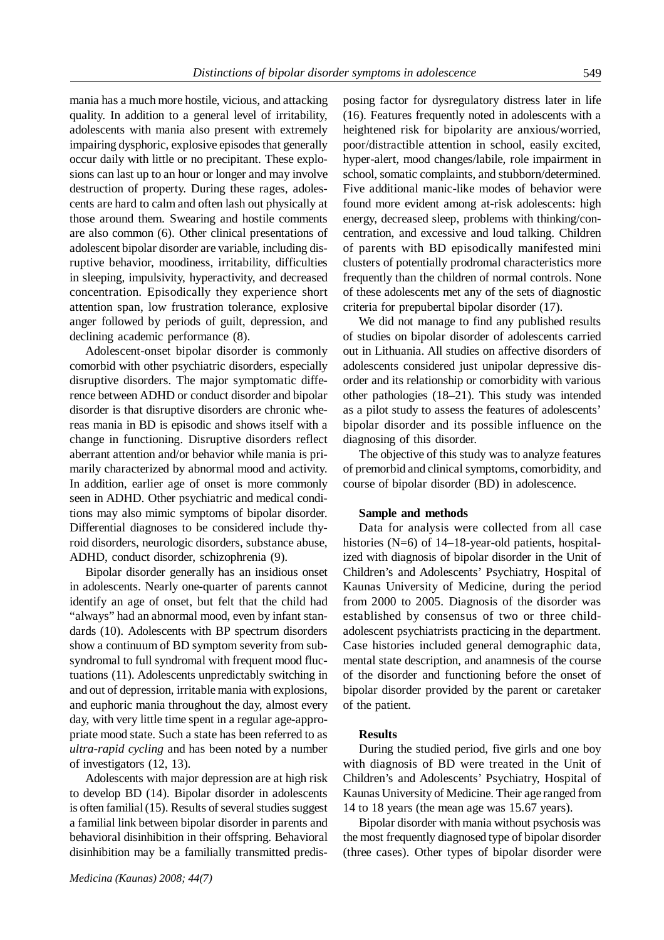mania has a much more hostile, vicious, and attacking quality. In addition to a general level of irritability, adolescents with mania also present with extremely impairing dysphoric, explosive episodes that generally occur daily with little or no precipitant. These explosions can last up to an hour or longer and may involve destruction of property. During these rages, adolescents are hard to calm and often lash out physically at those around them. Swearing and hostile comments are also common (6). Other clinical presentations of adolescent bipolar disorder are variable, including disruptive behavior, moodiness, irritability, difficulties in sleeping, impulsivity, hyperactivity, and decreased concentration. Episodically they experience short attention span, low frustration tolerance, explosive anger followed by periods of guilt, depression, and declining academic performance (8).

Adolescent-onset bipolar disorder is commonly comorbid with other psychiatric disorders, especially disruptive disorders. The major symptomatic difference between ADHD or conduct disorder and bipolar disorder is that disruptive disorders are chronic whereas mania in BD is episodic and shows itself with a change in functioning. Disruptive disorders reflect aberrant attention and/or behavior while mania is primarily characterized by abnormal mood and activity. In addition, earlier age of onset is more commonly seen in ADHD. Other psychiatric and medical conditions may also mimic symptoms of bipolar disorder. Differential diagnoses to be considered include thyroid disorders, neurologic disorders, substance abuse, ADHD, conduct disorder, schizophrenia (9).

Bipolar disorder generally has an insidious onset in adolescents. Nearly one-quarter of parents cannot identify an age of onset, but felt that the child had "always" had an abnormal mood, even by infant standards (10). Adolescents with BP spectrum disorders show a continuum of BD symptom severity from subsyndromal to full syndromal with frequent mood fluctuations (11). Adolescents unpredictably switching in and out of depression, irritable mania with explosions, and euphoric mania throughout the day, almost every day, with very little time spent in a regular age-appropriate mood state. Such a state has been referred to as *ultra-rapid cycling* and has been noted by a number of investigators (12, 13).

Adolescents with major depression are at high risk to develop BD (14). Bipolar disorder in adolescents is often familial  $(15)$ . Results of several studies suggest a familial link between bipolar disorder in parents and behavioral disinhibition in their offspring. Behavioral disinhibition may be a familially transmitted predisposing factor for dysregulatory distress later in life (16). Features frequently noted in adolescents with a heightened risk for bipolarity are anxious/worried, poor/distractible attention in school, easily excited, hyper-alert, mood changes/labile, role impairment in school, somatic complaints, and stubborn/determined. Five additional manic-like modes of behavior were found more evident among at-risk adolescents: high energy, decreased sleep, problems with thinking/concentration, and excessive and loud talking. Children of parents with BD episodically manifested mini clusters of potentially prodromal characteristics more frequently than the children of normal controls. None of these adolescents met any of the sets of diagnostic criteria for prepubertal bipolar disorder (17).

We did not manage to find any published results of studies on bipolar disorder of adolescents carried out in Lithuania. All studies on affective disorders of adolescents considered just unipolar depressive disorder and its relationship or comorbidity with various other pathologies (18–21). This study was intended as a pilot study to assess the features of adolescents' bipolar disorder and its possible influence on the diagnosing of this disorder.

The objective of this study was to analyze features of premorbid and clinical symptoms, comorbidity, and course of bipolar disorder (BD) in adolescence.

#### **Sample and methods**

Data for analysis were collected from all case histories (N=6) of 14–18-year-old patients, hospitalized with diagnosis of bipolar disorder in the Unit of Children's and Adolescents' Psychiatry, Hospital of Kaunas University of Medicine, during the period from 2000 to 2005. Diagnosis of the disorder was established by consensus of two or three childadolescent psychiatrists practicing in the department. Case histories included general demographic data, mental state description, and anamnesis of the course of the disorder and functioning before the onset of bipolar disorder provided by the parent or caretaker of the patient.

#### **Results**

During the studied period, five girls and one boy with diagnosis of BD were treated in the Unit of Children's and Adolescents' Psychiatry, Hospital of Kaunas University of Medicine. Their age ranged from 14 to 18 years (the mean age was 15.67 years).

Bipolar disorder with mania without psychosis was the most frequently diagnosed type of bipolar disorder (three cases). Other types of bipolar disorder were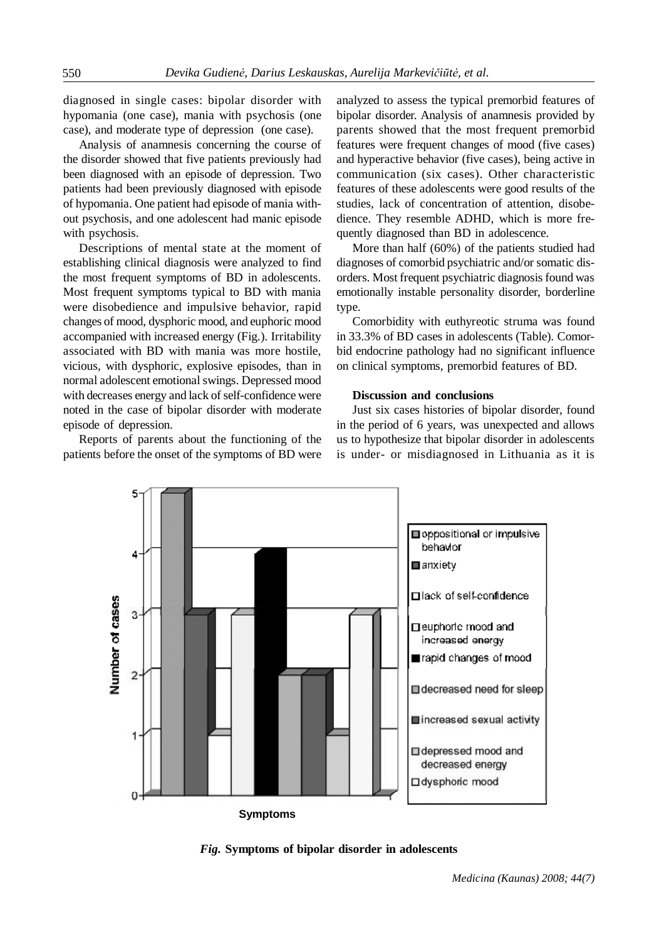diagnosed in single cases: bipolar disorder with hypomania (one case), mania with psychosis (one case), and moderate type of depression (one case).

Analysis of anamnesis concerning the course of the disorder showed that five patients previously had been diagnosed with an episode of depression. Two patients had been previously diagnosed with episode of hypomania. One patient had episode of mania without psychosis, and one adolescent had manic episode with psychosis.

Descriptions of mental state at the moment of establishing clinical diagnosis were analyzed to find the most frequent symptoms of BD in adolescents. Most frequent symptoms typical to BD with mania were disobedience and impulsive behavior, rapid changes of mood, dysphoric mood, and euphoric mood accompanied with increased energy (Fig.). Irritability associated with BD with mania was more hostile, vicious, with dysphoric, explosive episodes, than in normal adolescent emotional swings. Depressed mood with decreases energy and lack of self-confidence were noted in the case of bipolar disorder with moderate episode of depression.

Reports of parents about the functioning of the patients before the onset of the symptoms of BD were analyzed to assess the typical premorbid features of bipolar disorder. Analysis of anamnesis provided by parents showed that the most frequent premorbid features were frequent changes of mood (five cases) and hyperactive behavior (five cases), being active in communication (six cases). Other characteristic features of these adolescents were good results of the studies, lack of concentration of attention, disobedience. They resemble ADHD, which is more frequently diagnosed than BD in adolescence.

More than half (60%) of the patients studied had diagnoses of comorbid psychiatric and/or somatic disorders. Most frequent psychiatric diagnosis found was emotionally instable personality disorder, borderline type.

Comorbidity with euthyreotic struma was found in 33.3% of BD cases in adolescents (Table). Comorbid endocrine pathology had no significant influence on clinical symptoms, premorbid features of BD.

### **Discussion and conclusions**

Just six cases histories of bipolar disorder, found in the period of 6 years, was unexpected and allows us to hypothesize that bipolar disorder in adolescents is under- or misdiagnosed in Lithuania as it is



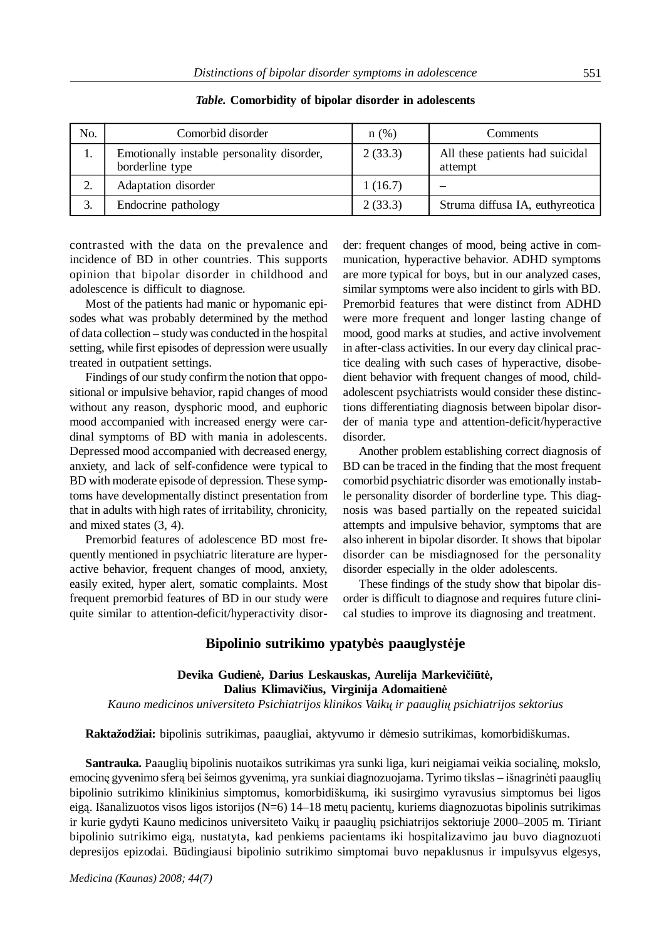| No. | Comorbid disorder                                             | n(%)    | Comments                                   |
|-----|---------------------------------------------------------------|---------|--------------------------------------------|
| 1.  | Emotionally instable personality disorder,<br>borderline type | 2(33.3) | All these patients had suicidal<br>attempt |
| 2.  | Adaptation disorder                                           | 1(16.7) |                                            |
| 3.  | Endocrine pathology                                           | 2(33.3) | Struma diffusa IA, euthyreotica            |

*Table.* **Comorbidity of bipolar disorder in adolescents**

contrasted with the data on the prevalence and incidence of BD in other countries. This supports opinion that bipolar disorder in childhood and adolescence is difficult to diagnose.

Most of the patients had manic or hypomanic episodes what was probably determined by the method of data collection – study was conducted in the hospital setting, while first episodes of depression were usually treated in outpatient settings.

Findings of our study confirm the notion that oppositional or impulsive behavior, rapid changes of mood without any reason, dysphoric mood, and euphoric mood accompanied with increased energy were cardinal symptoms of BD with mania in adolescents. Depressed mood accompanied with decreased energy, anxiety, and lack of self-confidence were typical to BD with moderate episode of depression. These symptoms have developmentally distinct presentation from that in adults with high rates of irritability, chronicity, and mixed states (3, 4).

Premorbid features of adolescence BD most frequently mentioned in psychiatric literature are hyperactive behavior, frequent changes of mood, anxiety, easily exited, hyper alert, somatic complaints. Most frequent premorbid features of BD in our study were quite similar to attention-deficit/hyperactivity disorder: frequent changes of mood, being active in communication, hyperactive behavior. ADHD symptoms are more typical for boys, but in our analyzed cases, similar symptoms were also incident to girls with BD. Premorbid features that were distinct from ADHD were more frequent and longer lasting change of mood, good marks at studies, and active involvement in after-class activities. In our every day clinical practice dealing with such cases of hyperactive, disobedient behavior with frequent changes of mood, childadolescent psychiatrists would consider these distinctions differentiating diagnosis between bipolar disorder of mania type and attention-deficit/hyperactive disorder.

Another problem establishing correct diagnosis of BD can be traced in the finding that the most frequent comorbid psychiatric disorder was emotionally instable personality disorder of borderline type. This diagnosis was based partially on the repeated suicidal attempts and impulsive behavior, symptoms that are also inherent in bipolar disorder. It shows that bipolar disorder can be misdiagnosed for the personality disorder especially in the older adolescents.

These findings of the study show that bipolar disorder is difficult to diagnose and requires future clinical studies to improve its diagnosing and treatment.

# **Bipolinio sutrikimo ypatybės paauglystėje**

# **Devika Gudienė, Darius Leskauskas, Aurelija Markevičiūtė, Dalius Klimavičius, Virginija Adomaitienė**

*Kauno medicinos universiteto Psichiatrijos klinikos Vaikų ir paauglių psichiatrijos sektorius*

**Raktažodžiai:** bipolinis sutrikimas, paaugliai, aktyvumo ir dėmesio sutrikimas, komorbidiškumas.

**Santrauka.** Paauglių bipolinis nuotaikos sutrikimas yra sunki liga, kuri neigiamai veikia socialinę, mokslo, emocinę gyvenimo sferą bei šeimos gyvenimą, yra sunkiai diagnozuojama. Tyrimo tikslas – išnagrinėti paauglių bipolinio sutrikimo klinikinius simptomus, komorbidiškumą, iki susirgimo vyravusius simptomus bei ligos eigą. Išanalizuotos visos ligos istorijos (N=6) 14–18 metų pacientų, kuriems diagnozuotas bipolinis sutrikimas ir kurie gydyti Kauno medicinos universiteto Vaikų ir paauglių psichiatrijos sektoriuje 2000–2005 m. Tiriant bipolinio sutrikimo eigą, nustatyta, kad penkiems pacientams iki hospitalizavimo jau buvo diagnozuoti depresijos epizodai. Būdingiausi bipolinio sutrikimo simptomai buvo nepaklusnus ir impulsyvus elgesys,